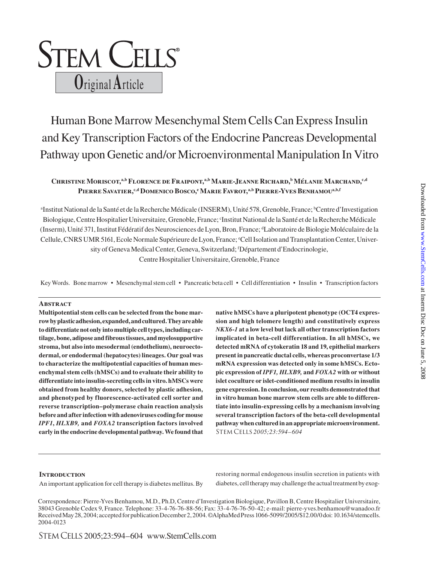# **STEM CELLS**® **O**riginal **A**rticle

# Human Bone Marrow Mesenchymal Stem Cells Can Express Insulin and Key Transcription Factors of the Endocrine Pancreas Developmental Pathway upon Genetic and/or Microenvironmental Manipulation In Vitro

# CHRISTINE MORISCOT,<sup>a,b</sup> FLORENCE DE FRAIPONT,<sup>a,b</sup> MARIE-JEANNE RICHARD,<sup>b</sup> Mélanie Marchand,<sup>c,d</sup> Pierre Savatier,<sup>c,d</sup> Domenico Bosco,<sup>e</sup> Marie Favrot,<sup>a,b</sup> Pierre-Yves Benhamou<sup>a,b,f</sup>

<sup>a</sup>Institut National de la Santé et de la Recherche Médicale (INSERM), Unité 578, Grenoble, France; <sup>b</sup>Centre d'Investigation Biologique, Centre Hospitalier Universitaire, Grenoble, France; 'Institut National de la Santé et de la Recherche Médicale (Inserm), Unité 371, Institut Fédératif des Neurosciences de Lyon, Bron, France; d Laboratoire de Biologie Moléculaire de la Cellule, CNRS UMR 5161, Ecole Normale Supérieure de Lyon, France; °Cell Isolation and Transplantation Center, University of Geneva Medical Center, Geneva, Switzerland; f Département d'Endocrinologie, Centre Hospitalier Universitaire, Grenoble, France

Key Words. Bone marrow • Mesenchymal stem cell • Pancreatic beta cell • Cell differentiation • Insulin • Transcription factors

#### **Abstract**

**Multipotential stem cells can be selected from the bone marrow by plastic adhesion, expanded, and cultured. They are able to differentiate not only into multiple cell types, including cartilage, bone, adipose and fibrous tissues, and myelosupportive stroma, but also into mesodermal (endothelium), neuroectodermal, or endodermal (hepatocytes) lineages. Our goal was to characterize the multipotential capacities of human mesenchymal stem cells (hMSCs) and to evaluate their ability to differentiate into insulin-secreting cells in vitro. hMSCs were obtained from healthy donors, selected by plastic adhesion, and phenotyped by fluorescence-activated cell sorter and reverse transcription–polymerase chain reaction analysis before and after infection with adenoviruses coding for mouse**  *IPF1***,** *HLXB9,* **and** *FOXA2* **transcription factors involved early in the endocrine developmental pathway. We found that** 

**native hMSCs have a pluripotent phenotype (OCT4 expression and high telomere length) and constitutively express**  *NKX6-1* **at a low level but lack all other transcription factors implicated in beta-cell differentiation. In all hMSCs, we detected mRNA of cytokeratin 18 and 19, epithelial markers present in pancreatic ductal cells, whereas proconvertase 1/3 mRNA expression was detected only in some hMSCs. Ectopic expression of** *IPF1, HLXB9,* **and** *FOXA2* **with or without islet coculture or islet-conditioned medium results in insulin gene expression. In conclusion, our results demonstrated that in vitro human bone marrow stem cells are able to differentiate into insulin-expressing cells by a mechanism involving several transcription factors of the beta-cell developmental pathway when cultured in an appropriate microenvironment.**  Stem Cells *2005;23:594–604*

#### **INTRODUCTION**

An important application for cell therapy is diabetes mellitus. By

restoring normal endogenous insulin secretion in patients with diabetes, cell therapy may challenge the actual treatment by exog-

Correspondence: Pierre-Yves Benhamou, M.D., Ph.D, Centre d'Investigation Biologique, Pavillon B, Centre Hospitalier Universitaire, 38043 Grenoble Cedex 9, France. Telephone: 33-4-76-76-88-56; Fax: 33-4-76-76-50-42; e-mail: pierre-yves.benhamou@wanadoo.fr Received May 28, 2004; accepted for publication December 2, 2004. ©AlphaMed Press 1066-5099/2005/\$12.00/0 doi: 10.1634/stemcells. 2004-0123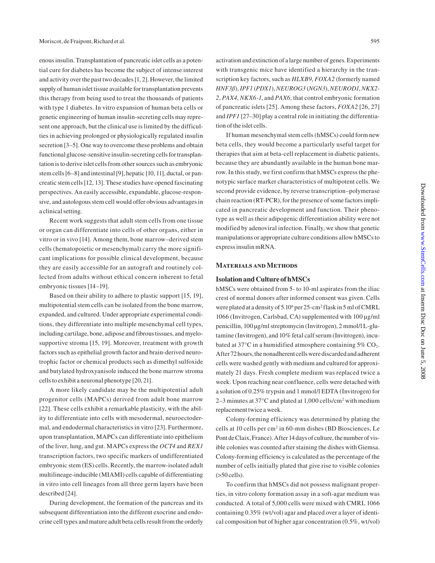enous insulin. Transplantation of pancreatic islet cells as a potential cure for diabetes has become the subject of intense interest and activity over the past two decades [1, 2]. However, the limited supply of human islet tissue available for transplantation prevents this therapy from being used to treat the thousands of patients with type 1 diabetes. In vitro expansion of human beta cells or genetic engineering of human insulin-secreting cells may represent one approach, but the clinical use is limited by the difficulties in achieving prolonged or physiologically regulated insulin secretion [3–5]. One way to overcome these problems and obtain functional glucose-sensitive insulin-secreting cells for transplantation is to derive islet cells from other sources such as embryonic stem cells [6–8] and intestinal [9], hepatic [10, 11], ductal, or pancreatic stem cells [12, 13]. These studies have opened fascinating perspectives. An easily accessible, expandable, glucose-responsive, and autologous stem cell would offer obvious advantages in a clinical setting.

Recent work suggests that adult stem cells from one tissue or organ can differentiate into cells of other organs, either in vitro or in vivo [14]. Among them, bone marrow–derived stem cells (hematopoietic or mesenchymal) carry the more significant implications for possible clinical development, because they are easily accessible for an autograft and routinely collected from adults without ethical concern inherent to fetal embryonic tissues [14–19].

Based on their ability to adhere to plastic support [15, 19], multipotential stem cells can be isolated from the bone marrow, expanded, and cultured. Under appropriate experimental conditions, they differentiate into multiple mesenchymal cell types, including cartilage, bone, adipose and fibrous tissues, and myelosupportive stroma [15, 19]. Moreover, treatment with growth factors such as epithelial growth factor and brain-derived neurotrophic factor or chemical products such as dimethyl sulfoxide and butylated hydroxyanisole induced the bone marrow stroma cells to exhibit a neuronal phenotype [20, 21].

A more likely candidate may be the multipotential adult progenitor cells (MAPCs) derived from adult bone marrow [22]. These cells exhibit a remarkable plasticity, with the ability to differentiate into cells with mesodermal, neuroectodermal, and endodermal characteristics in vitro [23]. Furthermore, upon transplantation, MAPCs can differentiate into epithelium of the liver, lung, and gut. MAPCs express the *OCT4* and *REX1* transcription factors, two specific markers of undifferentiated embryonic stem (ES) cells. Recently, the marrow-isolated adult multilineage-inducible (MIAMI) cells capable of differentiating in vitro into cell lineages from all three germ layers have been described [24].

During development, the formation of the pancreas and its subsequent differentiation into the different exocrine and endocrine cell types and mature adult beta cells result from the orderly

activation and extinction of a large number of genes. Experiments with transgenic mice have identified a hierarchy in the transcription key factors, such as *HLXB9*, *FOXA2* (formerly named *HNF3ß*), *IPF1* (*PDX1*), *NEUROG3* (*NGN3*), *NEUROD1*, *NKX2- 2*, *PAX4*, *NKX6-1*, and *PAX6*, that control embryonic formation of pancreatic islets [25]. Among these factors, *FOXA2* [26, 27] and *IPF1* [27–30] play a central role in initiating the differentiation of the islet cells.

If human mesenchymal stem cells (hMSCs) could form new beta cells, they would become a particularly useful target for therapies that aim at beta-cell replacement in diabetic patients, because they are abundantly available in the human bone marrow. In this study, we first confirm that hMSCs express the phenotypic surface marker characteristics of multipotent cells. We second provide evidence, by reverse transcription–polymerase chain reaction (RT-PCR), for the presence of some factors implicated in pancreatic development and function. Their phenotype as well as their adipogenic differentiation ability were not modified by adenoviral infection. Finally, we show that genetic manipulations or appropriate culture conditions allow hMSCs to express insulin mRNA.

#### **Materials and Methods**

#### **Isolation and Culture of hMSCs**

hMSCs were obtained from 5- to 10-ml aspirates from the iliac crest of normal donors after informed consent was given. Cells were plated at a density of  $5.10^6$  per 25-cm<sup>2</sup> flask in 5 ml of CMRL 1066 (Invitrogen, Carlsbad, CA) supplemented with 100 μg/ml penicillin, 100 μg/ml streptomycin (Invitrogen), 2 mmol/l L-glutamine (Invitrogen), and 10% fetal calf serum (Invitrogen), incubated at 37 $\degree$ C in a humidified atmosphere containing 5% CO<sub>2</sub>. After 72 hours, the nonadherent cells were discarded and adherent cells were washed gently with medium and cultured for approximately 21 days. Fresh complete medium was replaced twice a week. Upon reaching near confluence, cells were detached with a solution of 0.25% trypsin and 1 mmol/l EDTA (Invitrogen) for 2–3 minutes at 37 $\mathrm{^{\circ}C}$  and plated at 1,000 cells/cm<sup>2</sup> with medium replacement twice a week.

Colony-forming efficiency was determined by plating the cells at 10 cells per cm2 in 60-mm dishes (BD Biosciences, Le Pont de Claix, France). After 14 days of culture, the number of visible colonies was counted after staining the dishes with Giemsa. Colony-forming efficiency is calculated as the percentage of the number of cells initially plated that give rise to visible colonies  $($ >50 cells $).$ 

To confirm that hMSCs did not possess malignant properties, in vitro colony formation assay in a soft-agar medium was conducted. A total of 5,000 cells were mixed with CMRL 1066 containing 0.35% (wt/vol) agar and placed over a layer of identical composition but of higher agar concentration (0.5%, wt/vol)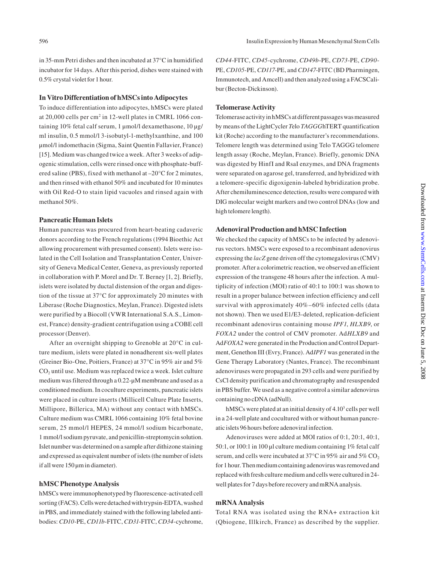in 35-mm Petri dishes and then incubated at 37°C in humidified incubator for 14 days. After this period, dishes were stained with 0.5% crystal violet for 1 hour.

#### **In Vitro Differentiation of hMSCs into Adipocytes**

To induce differentiation into adipocytes, hMSCs were plated at 20,000 cells per cm<sup>2</sup> in 12-well plates in CMRL 1066 containing 10% fetal calf serum, 1 μmol/l dexamethasone, 10 μg/ ml insulin, 0.5 mmol/l 3-isobutyl-1-methylxanthine, and 100 μmol/l indomethacin (Sigma, Saint Quentin Fallavier, France) [15]. Medium was changed twice a week. After 3 weeks of adipogenic stimulation, cells were rinsed once with phosphate-buffered saline (PBS), fixed with methanol at –20°C for 2 minutes, and then rinsed with ethanol 50% and incubated for 10 minutes with Oil Red-O to stain lipid vacuoles and rinsed again with methanol 50%.

#### **Pancreatic Human Islets**

Human pancreas was procured from heart-beating cadaveric donors according to the French regulations (1994 Bioethic Act allowing procurement with presumed consent). Islets were isolated in the Cell Isolation and Transplantation Center, University of Geneva Medical Center, Geneva, as previously reported in collaboration with P. Morel and Dr. T. Berney [1, 2]. Briefly, islets were isolated by ductal distension of the organ and digestion of the tissue at 37°C for approximately 20 minutes with Liberase (Roche Diagnostics, Meylan, France). Digested islets were purified by a Biocoll (VWR International S.A.S., Limonest, France) density-gradient centrifugation using a COBE cell processor (Denver).

After an overnight shipping to Grenoble at 20°C in culture medium, islets were plated in nonadherent six-well plates (Greiner Bio-One, Poitiers, France) at 37°C in 95% air and 5%  $CO<sub>2</sub>$  until use. Medium was replaced twice a week. Islet culture medium was filtered through a 0.22-μM membrane and used as a conditioned medium. In coculture experiments, pancreatic islets were placed in culture inserts (Millicell Culture Plate Inserts, Millipore, Billerica, MA) without any contact with hMSCs. Culture medium was CMRL 1066 containing 10% fetal bovine serum, 25 mmol/l HEPES, 24 mmol/l sodium bicarbonate, 1 mmol/l sodium pyruvate, and penicillin-streptomycin solution. Islet number was determined on a sample after dithizone staining and expressed as equivalent number of islets (the number of islets if all were 150 μm in diameter).

#### **hMSC Phenotype Analysis**

hMSCs were immunophenotyped by fluorescence-activated cell sorting (FACS). Cells were detached with trypsin-EDTA, washed in PBS, and immediately stained with the following labeled antibodies: *CD10*-PE, *CD11b*-FITC, *CD31*-FITC, *CD34*-cychrome,

*CD44*-FITC, *CD45*-cychrome, *CD49b*-PE, *CD73*-PE, *CD90*- PE, *CD105*-PE, *CD117*-PE, and *CD147*-FITC (BD Pharmingen, Immunotech, and Amcell) and then analyzed using a FACSCalibur (Becton-Dickinson).

#### **Telomerase Activity**

Telomerase activity in hMSCs at different passages was measured by means of the LightCycler *T*elo *TAGGG*hTERT quantification kit (Roche) according to the manufacturer's recommendations. Telomere length was determined using Telo TAGGG telomere length assay (Roche, Meylan, France). Briefly, genomic DNA was digested by HinfI and RsaI enzymes, and DNA fragments were separated on agarose gel, transferred, and hybridized with a telomere-specific digoxigenin-labeled hybridization probe. After chemiluminescence detection, results were compared with DIG molecular weight markers and two control DNAs (low and high telomere length).

#### **Adenoviral Production and hMSC Infection**

We checked the capacity of hMSCs to be infected by adenovirus vectors. hMSCs were exposed to a recombinant adenovirus expressing the *lacZ* gene driven off the cytomegalovirus (CMV) promoter. After a colorimetric reaction, we observed an efficient expression of the transgene 48 hours after the infection. A multiplicity of infection (MOI) ratio of 40:1 to 100:1 was shown to result in a proper balance between infection efficiency and cell survival with approximately 40%–60% infected cells (data not shown). Then we used E1/E3-deleted, replication-deficient recombinant adenovirus containing mouse *IPF1*, *HLXB9*, or *FOXA2* under the control of CMV promoter. Ad*HLXB9* and Ad*FOXA2* were generated in the Production and Control Department, Genethon III (Evry, France). Ad*IPF1* was generated in the Gene Therapy Laboratory (Nantes, France). The recombinant adenoviruses were propagated in 293 cells and were purified by CsCl density purification and chromatography and resuspended in PBS buffer. We used as a negative control a similar adenovirus containing no cDNA (adNull).

hMSCs were plated at an initial density of 4.10<sup>3</sup> cells per well in a 24-well plate and cocultured with or without human pancreatic islets 96 hours before adenoviral infection.

Adenoviruses were added at MOI ratios of 0:1, 20:1, 40:1, 50:1, or 100:1 in 100 μl culture medium containing 1% fetal calf serum, and cells were incubated at 37 $\mathrm{^{\circ}C}$  in 95% air and 5%  $\mathrm{CO}_2$ for 1 hour. Then medium containing adenovirus was removed and replaced with fresh culture medium and cells were cultured in 24 well plates for 7 days before recovery and mRNA analysis.

#### **mRNA Analysis**

Total RNA was isolated using the RNA+ extraction kit (Qbiogene, Illkirch, France) as described by the supplier.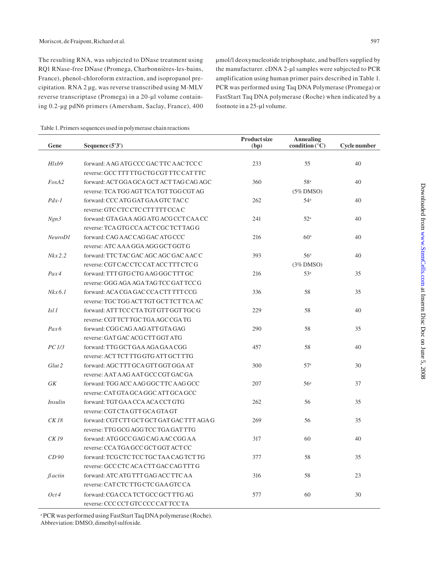The resulting RNA, was subjected to DNase treatment using RQ1 RNase-free DNase (Promega, Charbonnières-les-bains, France), phenol-chloroform extraction, and isopropanol precipitation. RNA 2 μg, was reverse transcribed using M-MLV reverse transcriptase (Promega) in a 20-μl volume containing 0.2-μg pdN6 primers (Amersham, Saclay, France), 400 μmol/l deoxynucleotide triphosphate, and buffers supplied by the manufacturer. cDNA 2-μl samples were subjected to PCR amplification using human primer pairs described in Table 1. PCR was performed using Taq DNA Polymerase (Promega) or FastStart Taq DNA polymerase (Roche) when indicated by a footnote in a 25-μl volume.

| Table 1. Primers sequences used in polymerase chain reactions |  |
|---------------------------------------------------------------|--|
|---------------------------------------------------------------|--|

| Gene              | Sequence (5'3')                            | <b>Product size</b><br>(bp) | <b>Annealing</b><br>condition $(^{\circ}C)$ | Cycle number |
|-------------------|--------------------------------------------|-----------------------------|---------------------------------------------|--------------|
|                   |                                            |                             |                                             |              |
| Hlxb9             | forward: AAG ATG CCC GAC TTC AAC TCC C     | 233                         | 55                                          | 40           |
|                   | reverse: GCC TTT TTG CTG CGT TTC CAT TTC   |                             |                                             |              |
| FoxA2             | forward: ACT GGA GCA GCT ACT TAG CAG AGC   | 360                         | 58 <sup>a</sup>                             | 40           |
|                   | reverse: TCA TGG AGT TCA TGT TGG CGT AG    |                             | $(5\%$ DMSO)                                |              |
| $Pdx-1$           | forward: CCC ATG GAT GAA GTC TAC C         | 262                         | 54 <sup>a</sup>                             | 40           |
|                   | reverse: GTC CTC CTC CTT TTT CCA C         |                             |                                             |              |
| Ngn3              | forward: GTA GAA AGG ATG ACG CCT CAA CC    | 241                         | 52 <sup>a</sup>                             | 40           |
|                   | reverse: TCA GTG CCA ACT CGC TCT TAG G     |                             |                                             |              |
| NeuroD1           | forward: CAG AAC CAG GAC ATG CCC           | 216                         | 60 <sup>a</sup>                             | 40           |
|                   | reverse: ATC AAA GGA AGG GCT GGT G         |                             |                                             |              |
| $Nkx$ 2.2         | forward: TTC TAC GAC AGC AGC GAC AACC      | 393                         | 56 <sup>a</sup>                             | 40           |
|                   | reverse: CGT CAC CTC CAT ACC TTT CTC G     |                             | $(3\%$ DMSO)                                |              |
| Pax4              | forward: TTT GTG CTG AAG GGC TTT GC        | 216                         | 53 <sup>a</sup>                             | 35           |
|                   | reverse: GGG AGA AGA TAG TCC GAT TCC G     |                             |                                             |              |
| $Nkx$ 6.1         | forward: ACA CGA GAC CCA CTT TTT CCG       | 336                         | 58                                          | 35           |
|                   | reverse: TGC TGG ACT TGT GCT TCT TCA AC    |                             |                                             |              |
| Isl 1             | forward: ATTTCC CTA TGT GTT GGT TGC G      | 229                         | 58                                          | 40           |
|                   | reverse: CGT TCT TGC TGA AGC CGA TG        |                             |                                             |              |
| Pax6              | forward: CGG CAG AAG ATT GTA GAG           | 290                         | 58                                          | 35           |
|                   | reverse: GAT GAC ACG CTT GGT ATG           |                             |                                             |              |
| PC1/3             | forward: TTG GCT GAA AGA GAA CGG           | 457                         | 58                                          | 40           |
|                   | reverse: ACT TCT TTG GTG ATT GCT TTG       |                             |                                             |              |
| Glut <sub>2</sub> | forward: AGC TTT GCA GTT GGT GGA AT        | 300                         | 57 <sup>a</sup>                             | 30           |
|                   | reverse: AAT AAG AAT GCC CGT GAC GA        |                             |                                             |              |
| GK                | forward: TGG ACC AAG GGC TTC AAG GCC       | 207                         | 56 <sup>a</sup>                             | 37           |
|                   | reverse: CAT GTA GCA GGC ATT GCA GCC       |                             |                                             |              |
| <i>Insulin</i>    | forward: TGT GAA CCA ACA CCT GTG           | 262                         | 56                                          | 35           |
|                   | reverse: CGT CTA GTT GCA GTA GT            |                             |                                             |              |
| CK18              | forward: CGT CTT GCT GCT GAT GAC TTT AGA G | 269                         | 56                                          | 35           |
|                   | reverse: TTG GCG AGG TCC TGA GAT TTG       |                             |                                             |              |
| CK 19             | forward: ATG GCC GAG CAG AAC CGG AA        | 317                         | 60                                          | 40           |
|                   | reverse: CCA TGA GCC GCT GGT ACT CC        |                             |                                             |              |
| CD90              | forward: TCG CTC TCC TGC TAA CAG TCT TG    | 377                         | 58                                          | 35           |
|                   | reverse: GCC CTC ACA CTT GAC CAG TTT G     |                             |                                             |              |
| $\beta$ actin     | forward: ATC ATG TTT GAG ACC TTC AA        | 316                         | 58                                          | 23           |
|                   | reverse: CAT CTC TTG CTC GAA GTC CA        |                             |                                             |              |
| Oct4              | forward: CGA CCA TCT GCC GCT TTG AG        | 577                         | 60                                          | 30           |
|                   | reverse: CCC CCT GTC CCC CAT TCC TA        |                             |                                             |              |

<sup>a</sup> PCR was performed using FastStart Taq DNA polymerase (Roche). Abbreviation: DMSO, dimethyl sulfoxide.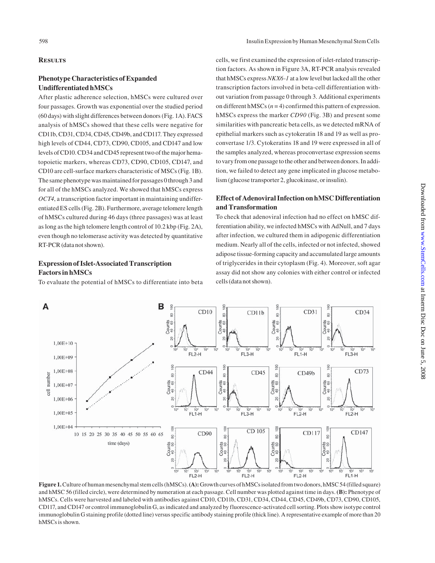#### 598 Insulin Expression by Human Mesenchymal Stem Cells

#### **Results**

### **Phenotype Characteristics of Expanded Undifferentiated hMSCs**

After plastic adherence selection, hMSCs were cultured over four passages. Growth was exponential over the studied period (60 days) with slight differences between donors (Fig. 1A). FACS analysis of hMSCs showed that these cells were negative for CD11b, CD31, CD34, CD45, CD49b, and CD117. They expressed high levels of CD44, CD73, CD90, CD105, and CD147 and low levels of CD10. CD34 and CD45 represent two of the major hematopoietic markers, whereas CD73, CD90, CD105, CD147, and CD10 are cell-surface markers characteristic of MSCs (Fig. 1B). The same phenotype was maintained for passages 0 through 3 and for all of the hMSCs analyzed. We showed that hMSCs express *OCT4*, a transcription factor important in maintaining undifferentiated ES cells (Fig. 2B). Furthermore, average telomere length of hMSCs cultured during 46 days (three passages) was at least as long as the high telomere length control of 10.2 kbp (Fig. 2A), even though no telomerase activity was detected by quantitative RT-PCR (data not shown).

# **Expression of Islet-Associated Transcription Factors in hMSCs**

To evaluate the potential of hMSCs to differentiate into beta

cells, we first examined the expression of islet-related transcription factors. As shown in Figure 3A, RT-PCR analysis revealed that hMSCs express *NKX6-1* at a low level but lacked all the other transcription factors involved in beta-cell differentiation without variation from passage 0 through 3. Additional experiments on different hMSCs (*n* = 4) confirmed this pattern of expression. hMSCs express the marker *CD90* (Fig. 3B) and present some similarities with pancreatic beta cells, as we detected mRNA of epithelial markers such as cytokeratin 18 and 19 as well as proconvertase 1/3. Cytokeratins 18 and 19 were expressed in all of the samples analyzed, whereas proconvertase expression seems to vary from one passage to the other and between donors. In addition, we failed to detect any gene implicated in glucose metabolism (glucose transporter 2, glucokinase, or insulin).

## **Effect of Adenoviral Infection on hMSC Differentiation and Transformation**

To check that adenoviral infection had no effect on hMSC differentiation ability, we infected hMSCs with AdNull, and 7 days after infection, we cultured them in adipogenic differentiation medium. Nearly all of the cells, infected or not infected, showed adipose tissue-forming capacity and accumulated large amounts of triglycerides in their cytoplasm (Fig. 4). Moreover, soft agar assay did not show any colonies with either control or infected cells (data not shown).



**Figure 1.** Culture of human mesenchymal stem cells (hMSCs). **(A):** Growth curves of hMSCs isolated from two donors, hMSC 54 (filled square) and hMSC 56 (filled circle), were determined by numeration at each passage. Cell number was plotted against time in days. **(B):** Phenotype of hMSCs. Cells were harvested and labeled with antibodies against CD10, CD11b, CD31, CD34, CD44, CD45, CD49b, CD73, CD90, CD105, CD117, and CD147 or control immunoglobulin G, as indicated and analyzed by fluorescence-activated cell sorting. Plots show isotype control immunoglobulin G staining profile (dotted line) versus specific antibody staining profile (thick line). A representative example of more than 20 hMSCs is shown.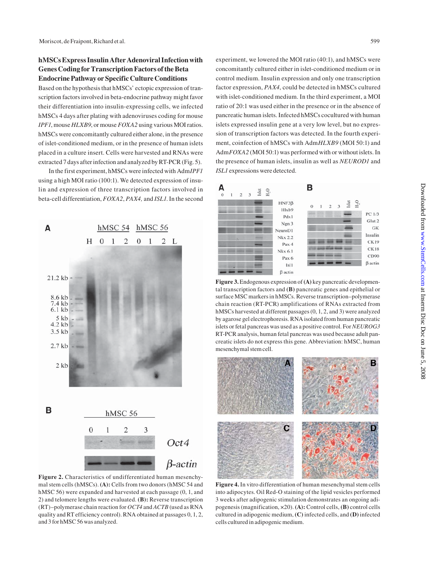# **hMSCs Express Insulin After Adenoviral Infection with Genes Coding for Transcription Factors of the Beta Endocrine Pathway or Specific Culture Conditions**

Based on the hypothesis that hMSCs' ectopic expression of transcription factors involved in beta-endocrine pathway might favor their differentiation into insulin-expressing cells, we infected hMSCs 4 days after plating with adenoviruses coding for mouse *IPF1*, mouse *HLXB9*, or mouse *FOXA2* using various MOI ratios. hMSCs were concomitantly cultured either alone, in the presence of islet-conditioned medium, or in the presence of human islets placed in a culture insert. Cells were harvested and RNAs were extracted 7 days after infection and analyzed by RT-PCR (Fig. 5).

In the first experiment, hMSCs were infected with Adm*IPF1*  using a high MOI ratio (100:1). We detected expression of insulin and expression of three transcription factors involved in beta-cell differentiation, *FOXA2*, *PAX4,* and *ISL1*. In the second



**Figure 2.** Characteristics of undifferentiated human mesenchymal stem cells (hMSCs). **(A):** Cells from two donors (hMSC 54 and hMSC 56) were expanded and harvested at each passage (0, 1, and 2) and telomere lengths were evaluated. **(B):** Reverse transcription (RT)–polymerase chain reaction for *OCT4* and *ACTB* (used as RNA quality and RT efficiency control). RNA obtained at passages 0, 1, 2, and 3 for hMSC 56 was analyzed.

experiment, we lowered the MOI ratio (40:1), and hMSCs were concomitantly cultured either in islet-conditioned medium or in control medium. Insulin expression and only one transcription factor expression, *PAX4*, could be detected in hMSCs cultured with islet-conditioned medium. In the third experiment, a MOI ratio of 20:1 was used either in the presence or in the absence of pancreatic human islets. Infected hMSCs cocultured with human islets expressed insulin gene at a very low level, but no expression of transcription factors was detected. In the fourth experiment, coinfection of hMSCs with Adm*HLXB9* (MOI 50:1) and Adm*FOXA2* (MOI 50:1) was performed with or without islets. In the presence of human islets, insulin as well as *NEUROD1* and *ISL1* expressions were detected.



**Figure 3.** Endogenous expression of **(A)** key pancreatic developmental transcription factors and **(B)** pancreatic genes and epithelial or surface MSC markers in hMSCs. Reverse transcription–polymerase chain reaction (RT-PCR) amplifications of RNAs extracted from hMSCs harvested at different passages (0, 1, 2, and 3) were analyzed by agarose gel electrophoresis. RNA isolated from human pancreatic islets or fetal pancreas was used as a positive control. For *NEUROG3* RT-PCR analysis, human fetal pancreas was used because adult pancreatic islets do not express this gene. Abbreviation: hMSC, human mesenchymal stem cell.



**Figure 4.** In vitro differentiation of human mesenchymal stem cells into adipocytes. Oil Red-O staining of the lipid vesicles performed 3 weeks after adipogenic stimulation demonstrates an ongoing adipogenesis (magnification, ×20). **(A):** Control cells, **(B)** control cells cultured in adipogenic medium, **(C)** infected cells, and **(D)** infected cells cultured in adipogenic medium.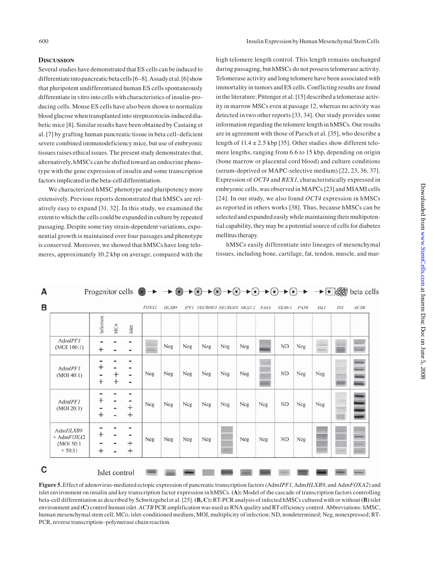A

#### **Discussion**

Several studies have demonstrated that ES cells can be induced to differentiate into pancreatic beta cells [6–8]. Assady et al. [6] show that pluripotent undifferentiated human ES cells spontaneously differentiate in vitro into cells with characteristics of insulin-producing cells. Mouse ES cells have also been shown to normalize blood glucose when transplanted into streptozotocin-induced diabetic mice [8]. Similar results have been obtained by Castaing et al. [7] by grafting human pancreatic tissue in beta cell–deficient severe combined immunodeficiency mice, but use of embryonic tissues raises ethical issues. The present study demonstrates that, alternatively, hMSCs can be shifted toward an endocrine phenotype with the gene expression of insulin and some transcription factors implicated in the beta-cell differentiation.

We characterized hMSC phenotype and pluripotency more extensively. Previous reports demonstrated that hMSCs are relatively easy to expand [31, 32]. In this study, we examined the extent to which the cells could be expanded in culture by repeated passaging. Despite some tiny strain-dependent variations, exponential growth is maintained over four passages and phenotype is conserved. Moreover, we showed that hMSCs have long telomeres, approximately 10.2 kbp on average, compared with the high telomere length control. This length remains unchanged during passaging, but hMSCs do not possess telomerase activity. Telomerase activity and long telomere have been associated with immortality in tumors and ES cells. Conflicting results are found in the literature; Pittenger et al. [15] described a telomerase activity in marrow MSCs even at passage 12, whereas no activity was detected in two other reports [33, 34]. Our study provides some information regarding the telomere length in hMSCs. Our results are in agreement with those of Parsch et al. [35], who describe a length of  $11.4 \pm 2.5$  kbp [35]. Other studies show different telomere lengths, ranging from 6.6 to 15 kbp, depending on origin (bone marrow or placental cord blood) and culture conditions (serum-deprived or MAPC-selective medium) [22, 23, 36, 37]. Expression of *OCT4* and *REX1*, characteristically expressed in embryonic cells, was observed in MAPCs [23] and MIAMI cells [24]. In our study, we also found *OCT4* expression in hMSCs as reported in others works [38]. Thus, because hMSCs can be selected and expanded easily while maintaining their multipotential capability, they may be a potential source of cells for diabetes mellitus therapy.

hMSCs easily differentiate into lineages of mesenchymal tissues, including bone, cartilage, fat, tendon, muscle, and mar-

|                                                   | Infection           | MCo              | Islet                 |     |                |                |     |                |     |     |           |     |     |    |  |
|---------------------------------------------------|---------------------|------------------|-----------------------|-----|----------------|----------------|-----|----------------|-----|-----|-----------|-----|-----|----|--|
| AdmIPF1<br>(MOI 100:1)                            | $^+$                |                  | -                     |     | ${\hbox{Neg}}$ | ${\hbox{Neg}}$ | Neg | ${\hbox{Neg}}$ | Neg |     | <b>ND</b> | Neg |     |    |  |
| AdmIPF1<br>(MOI 40:1)                             | $^+$<br>-<br>$^{+}$ | $\,^+$<br>$^{+}$ | -                     | Neg | Neg            | Neg            | Neg | Neg            | Neg |     | <b>ND</b> | Neg | Neg |    |  |
| AdmIPF1<br>(MOI 20:1)                             | +<br>÷              |                  | ۰<br>$^{+}$<br>$^{+}$ | Neg | Neg            | ${\hbox{Neg}}$ | Neg | Neg            | Neg | Neg | ND        | Neg | Neg | S. |  |
| AdmHLXB9<br>$+AdmFOXA2$<br>(MOI 50:1)<br>$+50:1)$ | $^{+}$<br>$^{+}$    |                  | $^+$<br>$\mathrm{+}$  | Neg | Neg            | Neg            | Neg |                | Neg | Neg | ND        | Neg |     |    |  |

**Figure 5.** Effect of adenovirus-mediated ectopic expression of pancreatic transcription factors (Adm*IPF1*, Adm*HLXB9*, and Adm*FOXA2*) and islet environment on insulin and key transcription factor expression in hMSCs. **(A):** Model of the cascade of transcription factors controlling beta-cell differentiation as described by Schwitzgebel et al. [25]. **(B, C):** RT-PCR analysis of infected hMSCs cultured with or without **(B)** islet environment and **(C)** control human islet. *ACTB* PCR amplification was used as RNA quality and RT efficiency control. Abbreviations: hMSC, human mesenchymal stem cell; MCo, islet-conditioned medium; MOI, multiplicity of infection; ND, nondetermined; Neg, nonexpressed; RT-PCR, reverse transcription–polymerase chain reaction.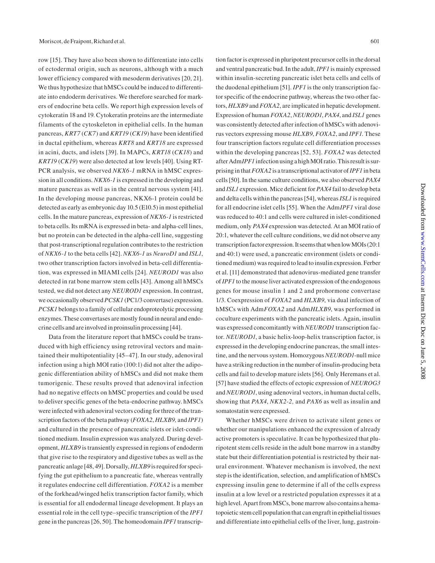row [15]. They have also been shown to differentiate into cells of ectodermal origin, such as neurons, although with a much lower efficiency compared with mesoderm derivatives [20, 21]. We thus hypothesize that hMSCs could be induced to differentiate into endoderm derivatives. We therefore searched for markers of endocrine beta cells. We report high expression levels of cytokeratin 18 and 19. Cytokeratin proteins are the intermediate filaments of the cytoskeleton in epithelial cells. In the human pancreas, *KRT7* (*CK7*) and *KRT19* (*CK19*) have been identified in ductal epithelium, whereas *KRT8* and *KRT18* are expressed in acini, ducts, and islets [39]. In MAPCs, *KRT18* (*CK18*) and *KRT19* (*CK19*) were also detected at low levels [40]. Using RT-PCR analysis, we observed *NKX6-1* mRNA in hMSC expression in all conditions. *NKX6-1* is expressed in the developing and mature pancreas as well as in the central nervous system [41]. In the developing mouse pancreas, NKX6-1 protein could be detected as early as embryonic day 10.5 (E10.5) in most epithelial cells. In the mature pancreas, expression of *NKX6-1* is restricted to beta cells. Its mRNA is expressed in beta- and alpha-cell lines, but no protein can be detected in the alpha-cell line, suggesting that post-transcriptional regulation contributes to the restriction of *NKX6-1* to the beta cells [42]. *NKX6-1* as *NeuroD1* and *ISL1*, two other transcription factors involved in beta-cell differentiation, was expressed in MIAMI cells [24]. *NEUROD1* was also detected in rat bone marrow stem cells [43]. Among all hMSCs tested, we did not detect any *NEUROD1* expression. In contrast, we occasionally observed *PCSK1* (PC1/3 convertase) expression. *PCSK1* belongs to a family of cellular endoproteolytic processing enzymes. These convertases are mostly found in neural and endocrine cells and are involved in proinsulin processing [44].

Data from the literature report that hMSCs could be transduced with high efficiency using retroviral vectors and maintained their multipotentiality [45–47]. In our study, adenoviral infection using a high MOI ratio (100:1) did not alter the adipogenic differentiation ability of hMSCs and did not make them tumorigenic. These results proved that adenoviral infection had no negative effects on hMSC properties and could be used to deliver specific genes of the beta-endocrine pathway. hMSCs were infected with adenoviral vectors coding for three of the transcription factors of the beta pathway (*FOXA2*, *HLXB9,* and *IPF1*) and cultured in the presence of pancreatic islets or islet-conditioned medium. Insulin expression was analyzed. During development, *HLXB9* is transiently expressed in regions of endoderm that give rise to the respiratory and digestive tubes as well as the pancreatic anlage [48, 49]. Dorsally, *HLXB9* is required for specifying the gut epithelium to a pancreatic fate, whereas ventrally it regulates endocrine cell differentiation. *FOXA2* is a member of the forkhead/winged helix transcription factor family, which is essential for all endodermal lineage development. It plays an essential role in the cell type–specific transcription of the *IPF1* gene in the pancreas [26, 50]. The homeodomain *IPF1* transcription factor is expressed in pluripotent precursor cells in the dorsal and ventral pancreatic bud. In the adult, *IPF1* is mainly expressed within insulin-secreting pancreatic islet beta cells and cells of the duodenal epithelium [51]. *IPF1* is the only transcription factor specific of the endocrine pathway, whereas the two other factors, *HLXB9* and *FOXA2*, are implicated in hepatic development. Expression of human *FOXA2*, *NEUROD1*, *PAX4*, and *ISL1* genes was consistently detected after infection of hMSCs with adenovirus vectors expressing mouse *HLXB9*, *FOXA2*, and *IPF1*. These four transcription factors regulate cell differentiation processes within the developing pancreas [52, 53]. *FOXA2* was detected after Adm*IPF1* infection using a high MOI ratio. This result is surprising in that *FOXA2* is a transcriptional activator of *IPF1* in beta cells [50]. In the same culture conditions, we also observed *PAX4* and *ISL1* expression. Mice deficient for *PAX4* fail to develop beta and delta cells within the pancreas [54], whereas *ISL1* is required for all endocrine islet cells [55]. When the Adm*IPF1* viral dose was reduced to 40:1 and cells were cultured in islet-conditioned medium, only *PAX4* expression was detected. At an MOI ratio of 20:1, whatever the cell culture conditions, we did not observe any transcription factor expression. It seems that when low MOIs (20:1 and 40:1) were used, a pancreatic environment (islets or conditioned medium) was required to lead to insulin expression. Ferber et al. [11] demonstrated that adenovirus-mediated gene transfer of *IPF1* to the mouse liver activated expression of the endogenous genes for mouse insulin 1 and 2 and prohormone convertase 1/3. Coexpression of *FOXA2* and *HLXB9*, via dual infection of hMSCs with Adm*FOXA2* and Adm*HLXB9*, was performed in coculture experiments with the pancreatic islets. Again, insulin was expressed concomitantly with *NEUROD1* transcription factor. *NEUROD1*, a basic helix-loop-helix transcription factor, is expressed in the developing endocrine pancreas, the small intestine, and the nervous system. Homozygous *NEUROD1*-null mice have a striking reduction in the number of insulin-producing beta cells and fail to develop mature islets [56]. Only Heremans et al. [57] have studied the effects of ectopic expression of *NEUROG3* and *NEUROD1*, using adenoviral vectors, in human ductal cells, showing that *PAX4*, *NKX2-2,* and *PAX6* as well as insulin and somatostatin were expressed.

Whether hMSCs were driven to activate silent genes or whether our manipulations enhanced the expression of already active promoters is speculative. It can be hypothesized that pluripotent stem cells reside in the adult bone marrow in a standby state but their differentiation potential is restricted by their natural environment. Whatever mechanism is involved, the next step is the identification, selection, and amplification of hMSCs expressing insulin gene to determine if all of the cells express insulin at a low level or a restricted population expresses it at a high level. Apart from MSCs, bone marrow also contains a hematopoietic stem cell population that can engraft in epithelial tissues and differentiate into epithelial cells of the liver, lung, gastroin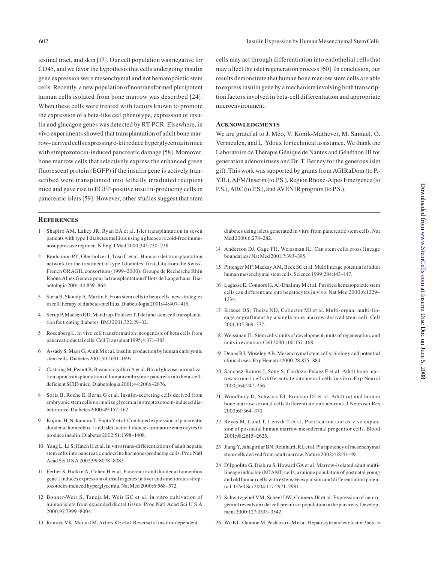testinal tract, and skin [17]. Our cell population was negative for CD45, and we favor the hypothesis that cells undergoing insulin gene expression were mesenchymal and not hematopoietic stem cells. Recently, a new population of nontransformed pluripotent human cells isolated from bone marrow was described [24]. When these cells were treated with factors known to promote the expression of a beta-like cell phenotype, expression of insulin and glucagon genes was detected by RT-PCR. Elsewhere, in vivo experiments showed that transplantation of adult bone marrow–derived cells expressing c-kit reduce hyperglycemia in mice with streptozotocin-induced pancreatic damage [58]. Moreover, bone marrow cells that selectively express the enhanced green fluorescent protein (EGFP) if the insulin gene is actively transcribed were transplanted into lethally irradiated recipient mice and gave rise to EGFP-positive insulin-producing cells in pancreatic islets [59]. However, other studies suggest that stem

#### **References**

- 1 Shapiro AM, Lakey JR, Ryan EA et al. Islet transplantation in seven patients with type 1 diabetes mellitus using a glucocorticoid-free immunosuppressive regimen. N Engl J Med 2000;343:230–238.
- 2 Benhamou PY, Oberholzer J, Toso C et al. Human islet transplantation network for the treatment of type I diabetes: first data from the Swiss-French GRAGIL consortium (1999–2000). Groupe de Recherche Rhin Rhône Alpes Geneve pour la transplantation d'Ilots de Langerhans. Diabetologia 2001;44:859–864.
- 3 Soria B, Skoudy A, Martin F. From stem cells to beta cells: new strategies in cell therapy of diabetes mellitus. Diabetologia 2001;44:407–415.
- 4 Serup P, Madsen OD, Mandrup-Poulsen T. Islet and stem cell transplantation for treating diabetes. BMJ 2001;322:29–32.
- 5 Rosenberg L. In vivo cell transformation: neogenesis of beta cells from pancreatic ductal cells. Cell Transplant 1995;4:371–383.
- 6 Assady S, Maor G, Amit M et al. Insulin production by human embryonic stem cells. Diabetes 2001;50:1691–1697.
- 7 Castaing M, Peault B, Basmaciogullari A et al. Blood glucose normalization upon transplantation of human embryonic pancreas into beta-celldeficient SCID mice. Diabetologia 2001;44:2066–2076.
- 8 Soria B, Roche E, Berna G et al. Insulin-secreting cells derived from embryonic stem cells normalize glycemia in streptozotocin-induced diabetic mice. Diabetes 2000;49:157–162.
- 9 Kojima H, Nakamura T, Fujita Y et al. Combined expression of pancreatic duodenal homeobox 1 and islet factor 1 induces immature enterocytes to produce insulin. Diabetes 2002;51:1398–1408.
- 10 Yang L, Li S, Hatch H et al. In vitro trans-differentiation of adult hepatic stem cells into pancreatic endocrine hormone-producing cells. Proc Natl Acad Sci U S A 2002;99:8078–8083.
- 11 Ferber S, Halkin A, Cohen H et al. Pancreatic and duodenal homeobox gene 1 induces expression of insulin genes in liver and ameliorates streptozotocin-induced hyperglycemia. Nat Med 2000;6:568–572.
- 12 Bonner-Weir S, Taneja M, Weir GC et al. In vitro cultivation of human islets from expanded ductal tissue. Proc Natl Acad Sci U S A 2000;97:7999–8004.
- 13 Ramiya VK, Maraist M, Arfors KE et al. Reversal of insulin-dependent

cells may act through differentiation into endothelial cells that may affect the islet regeneration process [60]. In conclusion, our results demonstrate that human bone marrow stem cells are able to express insulin gene by a mechanism involving both transcription factors involved in beta-cell differentiation and appropriate microenvironment.

#### **Acknowledgments**

We are grateful to J. Méo, V. Konik-Mathevet, M. Samuel, O. Vermeulen, and L. Ydoux for technical assistance. We thank the Laboratoire de Thérapie Génique de Nantes and Généthon III for generation adenoviruses and Dr. T. Berney for the generous islet gift. This work was supported by grants from AGIRaDom (to P.- Y.B.), AFM/Inserm (to P.S.), Region Rhone-Alpes Emergence (to P.S.), ARC (to P.S.), and AVENIR program (to P.S.).

 diabetes using islets generated in vitro from pancreatic stem cells. Nat Med 2000;6:278–282.

- 14 Anderson DJ, Gage FH, Weissman IL. Can stem cells cross lineage boundaries? Nat Med 2001;7:393–395.
- 15 Pittenger MF, Mackay AM, Beck SC et al. Multilineage potential of adult human mesenchymal stem cells. Science 1999;284:143–147.
- 16 Lagasse E, Connors H, Al-Dhalimy M et al. Purified hematopoietic stem cells can differentiate into hepatocytes in vivo. Nat Med 2000;6:1229– 1234.
- 17 Krause DS, Theise ND, Collector MI et al. Multi-organ, multi-lineage engraftment by a single bone marrow-derived stem cell. Cell 2001;105:369–377.
- 18 Weissman IL. Stem cells: units of development, units of regeneration, and units in evolution. Cell 2000;100:157–168.
- 19 Deans RJ, Moseley AB. Mesenchymal stem cells: biology and potential clinical uses. Exp Hematol 2000;28:875–884.
- 20 Sanchez-Ramos J, Song S, Cardozo-Pelaez F et al. Adult bone marrow stromal cells differentiate into neural cells in vitro. Exp Neurol 2000;164:247–256.
- 21 Woodbury D, Schwarz EJ, Prockop DJ et al. Adult rat and human bone marrow stromal cells differentiate into neurons. J Neurosci Res 2000;61:364–370.
- 22 Reyes M, Lund T, Lenvik T et al. Purification and ex vivo expansion of postnatal human marrow mesodermal progenitor cells. Blood 2001;98:2615–2625.
- 23 Jiang Y, Jahagirdar BN, Reinhardt RL et al. Pluripotency of mesenchymal stem cells derived from adult marrow. Nature 2002;418:41–49.
- 24 D'Ippolito G, Diabira S, Howard GA et al. Marrow-isolated adult multilineage inducible (MIAMI) cells, a unique population of postnatal young and old human cells with extensive expansion and differentiation potential. J Cell Sci 2004;117:2971–2981.
- 25 Schwitzgebel VM, Scheel DW, Conners JR et al. Expression of neurogenin3 reveals an islet cell precursor population in the pancreas. Development 2000;127:3533–3542.

26 Wu KL, Gannon M, Peshavaria M et al. Hepatocyte nuclear factor 3beta is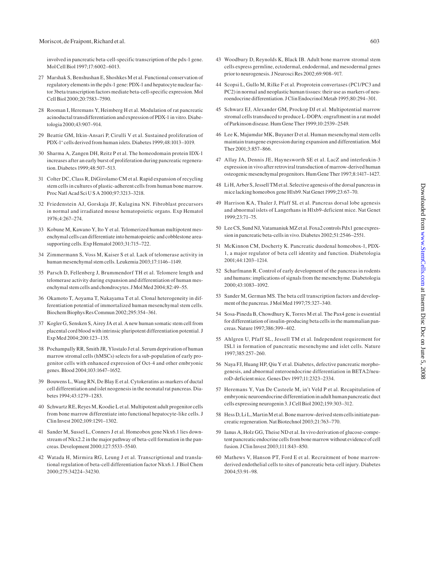#### Moriscot, de Fraipont, Richard et al. 603

involved in pancreatic beta-cell-specific transcription of the pdx-1 gene. Mol Cell Biol 1997;17:6002–6013.

- 27 Marshak S, Benshushan E, Shoshkes M et al. Functional conservation of regulatory elements in the pdx-1 gene: PDX-1 and hepatocyte nuclear factor 3beta transcription factors mediate beta-cell-specific expression. Mol Cell Biol 2000;20:7583–7590.
- 28 Rooman I, Heremans Y, Heimberg H et al. Modulation of rat pancreatic acinoductal transdifferentiation and expression of PDX-1 in vitro. Diabetologia 2000;43:907–914.
- 29 Beattie GM, Itkin-Ansari P, Cirulli V et al. Sustained proliferation of PDX-1+ cells derived from human islets. Diabetes 1999;48:1013–1019.
- 30 Sharma A, Zangen DH, Reitz P et al. The homeodomain protein IDX-1 increases after an early burst of proliferation during pancreatic regeneration. Diabetes 1999;48:507–513.
- 31 Colter DC, Class R, DiGirolamo CM et al. Rapid expansion of recycling stem cells in cultures of plastic-adherent cells from human bone marrow. Proc Natl Acad Sci U S A 2000;97:3213–3218.
- 32 Friedenstein AJ, Gorskaja JF, Kulagina NN. Fibroblast precursors in normal and irradiated mouse hematopoietic organs. Exp Hematol 1976;4:267–274.
- 33 Kobune M, Kawano Y, Ito Y et al. Telomerized human multipotent mesenchymal cells can differentiate into hematopoietic and cobblestone areasupporting cells. Exp Hematol 2003;31:715–722.
- 34 Zimmermann S, Voss M, Kaiser S et al. Lack of telomerase activity in human mesenchymal stem cells. Leukemia 2003;17:1146–1149.
- 35 Parsch D, Fellenberg J, Brummendorf TH et al. Telomere length and telomerase activity during expansion and differentiation of human mesenchymal stem cells and chondrocytes. J Mol Med 2004;82:49–55.
- 36 Okamoto T, Aoyama T, Nakayama T et al. Clonal heterogeneity in differentiation potential of immortalized human mesenchymal stem cells. Biochem Biophys Res Commun 2002;295:354–361.
- 37 Kogler G, Sensken S, Airey JA et al. A new human somatic stem cell from placental cord blood with intrinsic pluripotent differentiation potential. J Exp Med 2004;200:123–135.
- 38 Pochampally RR, Smith JR, Ylostalo J et al. Serum deprivation of human marrow stromal cells (hMSCs) selects for a sub-population of early progenitor cells with enhanced expression of Oct-4 and other embryonic genes. Blood 2004;103:1647–1652.
- 39 Bouwens L, Wang RN, De Blay E et al. Cytokeratins as markers of ductal cell differentiation and islet neogenesis in the neonatal rat pancreas. Diabetes 1994;43:1279–1283.
- 40 Schwartz RE, Reyes M, Koodie L et al. Multipotent adult progenitor cells from bone marrow differentiate into functional hepatocyte-like cells. J Clin Invest 2002;109:1291–1302.
- 41 Sander M, Sussel L, Conners J et al. Homeobox gene Nkx6.1 lies downstream of Nkx2.2 in the major pathway of beta-cell formation in the pancreas. Development 2000;127:5533–5540.
- 42 Watada H, Mirmira RG, Leung J et al. Transcriptional and translational regulation of beta-cell differentiation factor Nkx6.1. J Biol Chem 2000;275:34224–34230.
- 43 Woodbury D, Reynolds K, Black IB. Adult bone marrow stromal stem cells express germline, ectodermal, endodermal, and mesodermal genes prior to neurogenesis. J Neurosci Res 2002;69:908–917.
- 44 Scopsi L, Gullo M, Rilke F et al. Proprotein convertases (PC1/PC3 and PC2) in normal and neoplastic human tissues: their use as markers of neuroendocrine differentiation. J Clin Endocrinol Metab 1995;80:294–301.
- 45 Schwarz EJ, Alexander GM, Prockop DJ et al. Multipotential marrow stromal cells transduced to produce L-DOPA: engraftment in a rat model of Parkinson disease. Hum Gene Ther 1999;10:2539–2549.
- 46 Lee K, Majumdar MK, Buyaner D et al. Human mesenchymal stem cells maintain transgene expression during expansion and differentiation. Mol Ther 2001;3:857–866.
- 47 Allay JA, Dennis JE, Haynesworth SE et al. LacZ and interleukin-3 expression in vivo after retroviral transduction of marrow-derived human osteogenic mesenchymal progenitors. Hum Gene Ther 1997;8:1417–1427.
- 48 Li H, Arber S, Jessell TM et al. Selective agenesis of the dorsal pancreas in mice lacking homeobox gene Hlxb9. Nat Genet 1999;23:67–70.
- 49 Harrison KA, Thaler J, Pfaff SL et al. Pancreas dorsal lobe agenesis and abnormal islets of Langerhans in Hlxb9-deficient mice. Nat Genet 1999;23:71–75.
- 50 Lee CS, Sund NJ, Vatamaniuk MZ et al. Foxa2 controls Pdx1 gene expression in pancreatic beta-cells in vivo. Diabetes 2002;51:2546–2551.
- 51 McKinnon CM, Docherty K. Pancreatic duodenal homeobox-1, PDX-1, a major regulator of beta cell identity and function. Diabetologia 2001;44:1203–1214.
- 52 Scharfmann R. Control of early development of the pancreas in rodents and humans: implications of signals from the mesenchyme. Diabetologia 2000;43:1083–1092.
- 53 Sander M, German MS. The beta cell transcription factors and development of the pancreas. J Mol Med 1997;75:327–340.
- 54 Sosa-Pineda B, Chowdhury K, Torres M et al. The Pax4 gene is essential for differentiation of insulin-producing beta cells in the mammalian pancreas. Nature 1997;386:399–402.
- 55 Ahlgren U, Pfaff SL, Jessell TM et al. Independent requirement for ISL1 in formation of pancreatic mesenchyme and islet cells. Nature 1997;385:257–260.
- 56 Naya FJ, Huang HP, Qiu Y et al. Diabetes, defective pancreatic morphogenesis, and abnormal enteroendocrine differentiation in BETA2/neuroD-deficient mice. Genes Dev 1997;11:2323–2334.
- 57 Heremans Y, Van De Casteele M, in't Veld P et al. Recapitulation of embryonic neuroendocrine differentiation in adult human pancreatic duct cells expressing neurogenin 3. J Cell Biol 2002;159:303–312.
- 58 Hess D, Li L, Martin M et al. Bone marrow-derived stem cells initiate pancreatic regeneration. Nat Biotechnol 2003;21:763–770.
- 59 Ianus A, Holz GG, Theise ND et al. In vivo derivation of glucose-competent pancreatic endocrine cells from bone marrow without evidence of cell fusion. J Clin Invest 2003;111:843–850.
- 60 Mathews V, Hanson PT, Ford E et al. Recruitment of bone marrowderived endothelial cells to sites of pancreatic beta-cell injury. Diabetes 2004;53:91–98.